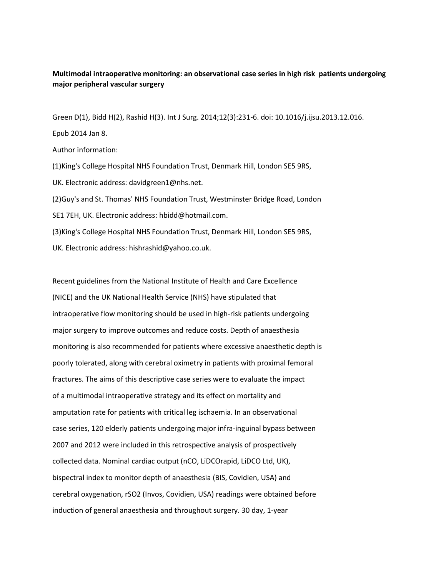## **Multimodal intraoperative monitoring: an observational case series in high risk patients undergoing major peripheral vascular surgery**

Green D(1), Bidd H(2), Rashid H(3). Int J Surg. 2014;12(3):231-6. doi: 10.1016/j.ijsu.2013.12.016. Epub 2014 Jan 8. Author information: (1)King's College Hospital NHS Foundation Trust, Denmark Hill, London SE5 9RS, UK. Electronic address: davidgreen1@nhs.net. (2)Guy's and St. Thomas' NHS Foundation Trust, Westminster Bridge Road, London SE1 7EH, UK. Electronic address: hbidd@hotmail.com. (3)King's College Hospital NHS Foundation Trust, Denmark Hill, London SE5 9RS, UK. Electronic address: hishrashid@yahoo.co.uk.

Recent guidelines from the National Institute of Health and Care Excellence (NICE) and the UK National Health Service (NHS) have stipulated that intraoperative flow monitoring should be used in high-risk patients undergoing major surgery to improve outcomes and reduce costs. Depth of anaesthesia monitoring is also recommended for patients where excessive anaesthetic depth is poorly tolerated, along with cerebral oximetry in patients with proximal femoral fractures. The aims of this descriptive case series were to evaluate the impact of a multimodal intraoperative strategy and its effect on mortality and amputation rate for patients with critical leg ischaemia. In an observational case series, 120 elderly patients undergoing major infra-inguinal bypass between 2007 and 2012 were included in this retrospective analysis of prospectively collected data. Nominal cardiac output (nCO, LiDCOrapid, LiDCO Ltd, UK), bispectral index to monitor depth of anaesthesia (BIS, Covidien, USA) and cerebral oxygenation, rSO2 (Invos, Covidien, USA) readings were obtained before induction of general anaesthesia and throughout surgery. 30 day, 1-year